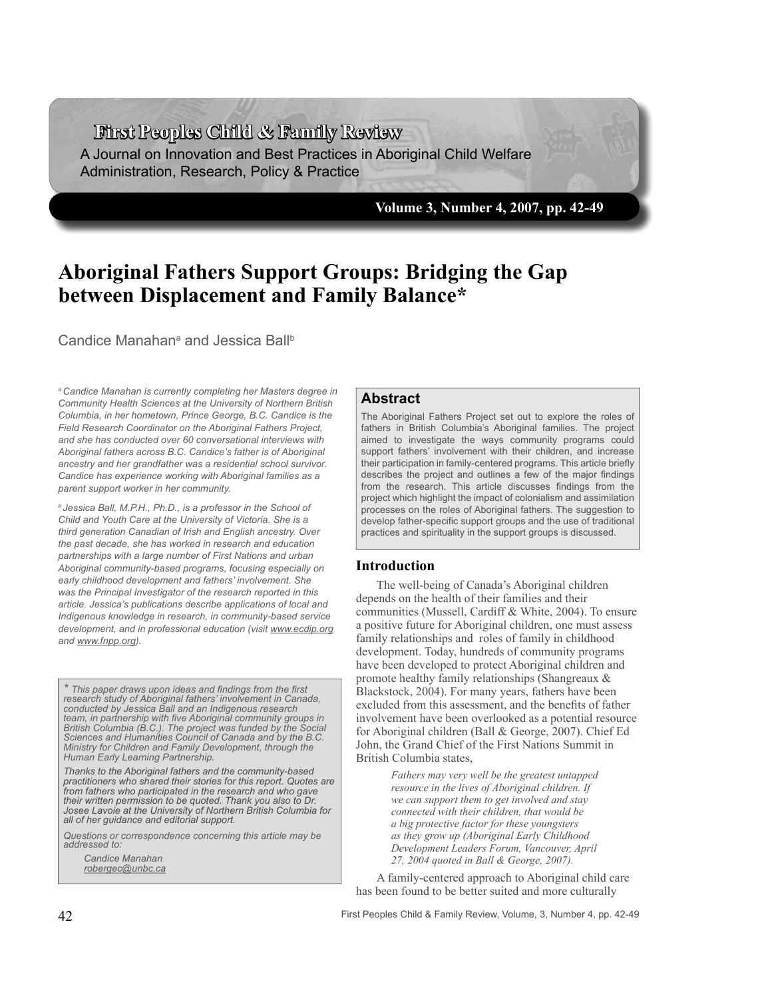**First Peoples Child & Family Review**

A Journal on Innovation and Best Practices in Aboriginal Child Welfare Administration, Research, Policy & Practice

**Volume 3, Number 4, 2007, pp. 42-49**

# **Aboriginal Fathers Support Groups: Bridging the Gap between Displacement and Family Balance\***

Candice Manahan<sup>a</sup> and Jessica Ball<sup>b</sup>

*a Candice Manahan is currently completing her Masters degree in Community Health Sciences at the University of Northern British Columbia, in her hometown, Prince George, B.C. Candice is the Field Research Coordinator on the Aboriginal Fathers Project, and she has conducted over 60 conversational interviews with Aboriginal fathers across B.C. Candice's father is of Aboriginal ancestry and her grandfather was a residential school survivor. Candice has experience working with Aboriginal families as a parent support worker in her community.*

*b Jessica Ball, M.P.H., Ph.D., is a professor in the School of Child and Youth Care at the University of Victoria. She is a third generation Canadian of Irish and English ancestry. Over the past decade, she has worked in research and education partnerships with a large number of First Nations and urban Aboriginal community-based programs, focusing especially on early childhood development and fathers' involvement. She was the Principal Investigator of the research reported in this article. Jessica's publications describe applications of local and Indigenous knowledge in research, in community-based service development, and in professional education (visit www.ecdip.org and www.fnpp.org).*

*\* This paper draws upon ideas and findings from the first research study of Aboriginal fathers' involvement in Canada, conducted by Jessica Ball and an Indigenous research team, in partnership with five Aboriginal community groups in British Columbia (B.C.). The project was funded by the Social Sciences and Humanities Council of Canada and by the B.C. Ministry for Children and Family Development, through the Human Early Learning Partnership.*

*Thanks to the Aboriginal fathers and the community-based practitioners who shared their stories for this report. Quotes are from fathers who participated in the research and who gave their written permission to be quoted. Thank you also to Dr. Josee Lavoie at the University of Northern British Columbia for all of her guidance and editorial support.*

*Questions or correspondence concerning this article may be addressed to:*

*Candice Manahan robergec@unbc.ca*

# **Abstract**

The Aboriginal Fathers Project set out to explore the roles of fathers in British Columbia's Aboriginal families. The project aimed to investigate the ways community programs could support fathers' involvement with their children, and increase their participation in family-centered programs. This article briefly describes the project and outlines a few of the major findings from the research. This article discusses findings from the project which highlight the impact of colonialism and assimilation processes on the roles of Aboriginal fathers. The suggestion to develop father-specific support groups and the use of traditional practices and spirituality in the support groups is discussed.

#### **Introduction**

The well-being of Canada's Aboriginal children depends on the health of their families and their communities (Mussell, Cardiff & White, 2004). To ensure a positive future for Aboriginal children, one must assess family relationships and roles of family in childhood development. Today, hundreds of community programs have been developed to protect Aboriginal children and promote healthy family relationships (Shangreaux & Blackstock, 2004). For many years, fathers have been excluded from this assessment, and the benefits of father involvement have been overlooked as a potential resource for Aboriginal children (Ball & George, 2007). Chief Ed John, the Grand Chief of the First Nations Summit in British Columbia states,

> *Fathers may very well be the greatest untapped resource in the lives of Aboriginal children. If we can support them to get involved and stay connected with their children, that would be a big protective factor for these youngsters as they grow up (Aboriginal Early Childhood Development Leaders Forum, Vancouver, April 27, 2004 quoted in Ball & George, 2007).*

A family-centered approach to Aboriginal child care has been found to be better suited and more culturally

First Peoples Child & Family Review, Volume, 3, Number 4, pp. 42-49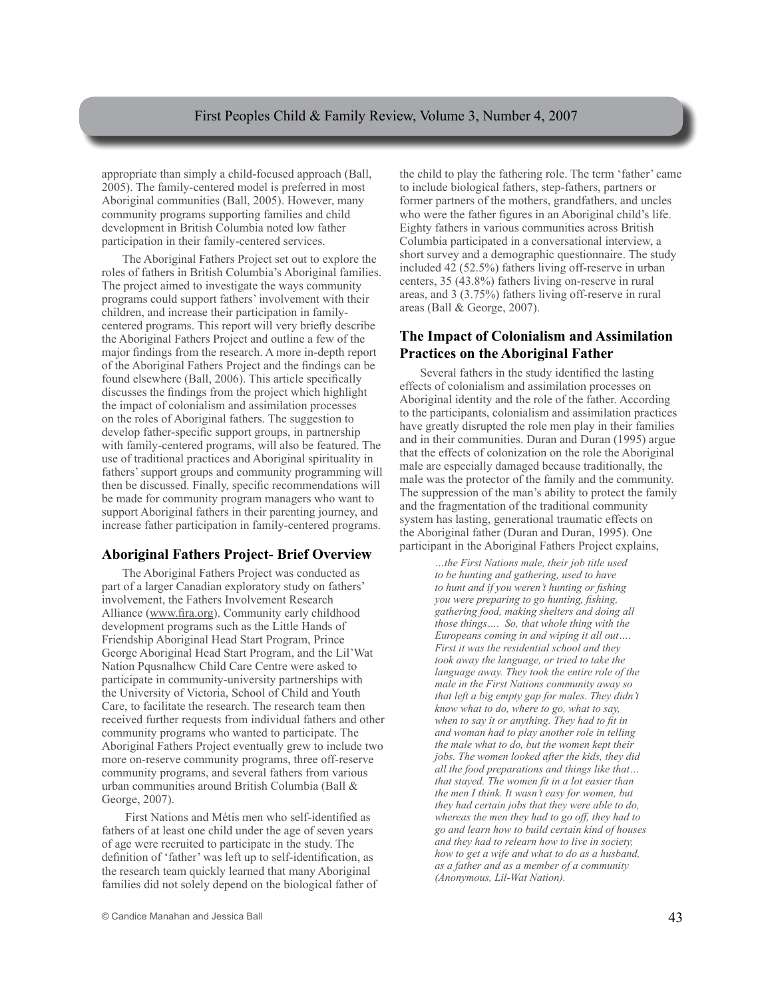appropriate than simply a child-focused approach (Ball, 2005). The family-centered model is preferred in most Aboriginal communities (Ball, 2005). However, many community programs supporting families and child development in British Columbia noted low father participation in their family-centered services.

The Aboriginal Fathers Project set out to explore the roles of fathers in British Columbia's Aboriginal families. The project aimed to investigate the ways community programs could support fathers' involvement with their children, and increase their participation in familycentered programs. This report will very briefly describe the Aboriginal Fathers Project and outline a few of the major findings from the research. A more in-depth report of the Aboriginal Fathers Project and the findings can be found elsewhere (Ball, 2006). This article specifically discusses the findings from the project which highlight the impact of colonialism and assimilation processes on the roles of Aboriginal fathers. The suggestion to develop father-specific support groups, in partnership with family-centered programs, will also be featured. The use of traditional practices and Aboriginal spirituality in fathers' support groups and community programming will then be discussed. Finally, specific recommendations will be made for community program managers who want to support Aboriginal fathers in their parenting journey, and increase father participation in family-centered programs.

# **Aboriginal Fathers Project- Brief Overview**

The Aboriginal Fathers Project was conducted as part of a larger Canadian exploratory study on fathers' involvement, the Fathers Involvement Research Alliance (www.fira.org). Community early childhood development programs such as the Little Hands of Friendship Aboriginal Head Start Program, Prince George Aboriginal Head Start Program, and the Lil'Wat Nation Pqusnalhcw Child Care Centre were asked to participate in community-university partnerships with the University of Victoria, School of Child and Youth Care, to facilitate the research. The research team then received further requests from individual fathers and other community programs who wanted to participate. The Aboriginal Fathers Project eventually grew to include two more on-reserve community programs, three off-reserve community programs, and several fathers from various urban communities around British Columbia (Ball & George, 2007).

 First Nations and Métis men who self-identified as fathers of at least one child under the age of seven years of age were recruited to participate in the study. The definition of 'father' was left up to self-identification, as the research team quickly learned that many Aboriginal families did not solely depend on the biological father of the child to play the fathering role. The term 'father' came to include biological fathers, step-fathers, partners or former partners of the mothers, grandfathers, and uncles who were the father figures in an Aboriginal child's life. Eighty fathers in various communities across British Columbia participated in a conversational interview, a short survey and a demographic questionnaire. The study included 42 (52.5%) fathers living off-reserve in urban centers, 35 (43.8%) fathers living on-reserve in rural areas, and 3 (3.75%) fathers living off-reserve in rural areas (Ball & George, 2007).

# **The Impact of Colonialism and Assimilation Practices on the Aboriginal Father**

Several fathers in the study identified the lasting effects of colonialism and assimilation processes on Aboriginal identity and the role of the father. According to the participants, colonialism and assimilation practices have greatly disrupted the role men play in their families and in their communities. Duran and Duran (1995) argue that the effects of colonization on the role the Aboriginal male are especially damaged because traditionally, the male was the protector of the family and the community. The suppression of the man's ability to protect the family and the fragmentation of the traditional community system has lasting, generational traumatic effects on the Aboriginal father (Duran and Duran, 1995). One participant in the Aboriginal Fathers Project explains,

> *…the First Nations male, their job title used to be hunting and gathering, used to have to hunt and if you weren't hunting or fishing you were preparing to go hunting, fishing, gathering food, making shelters and doing all those things…. So, that whole thing with the Europeans coming in and wiping it all out…. First it was the residential school and they took away the language, or tried to take the language away. They took the entire role of the male in the First Nations community away so that left a big empty gap for males. They didn't know what to do, where to go, what to say, when to say it or anything. They had to fit in and woman had to play another role in telling the male what to do, but the women kept their jobs. The women looked after the kids, they did all the food preparations and things like that… that stayed. The women fit in a lot easier than the men I think. It wasn't easy for women, but they had certain jobs that they were able to do, whereas the men they had to go off, they had to go and learn how to build certain kind of houses and they had to relearn how to live in society, how to get a wife and what to do as a husband, as a father and as a member of a community (Anonymous, Lil-Wat Nation).*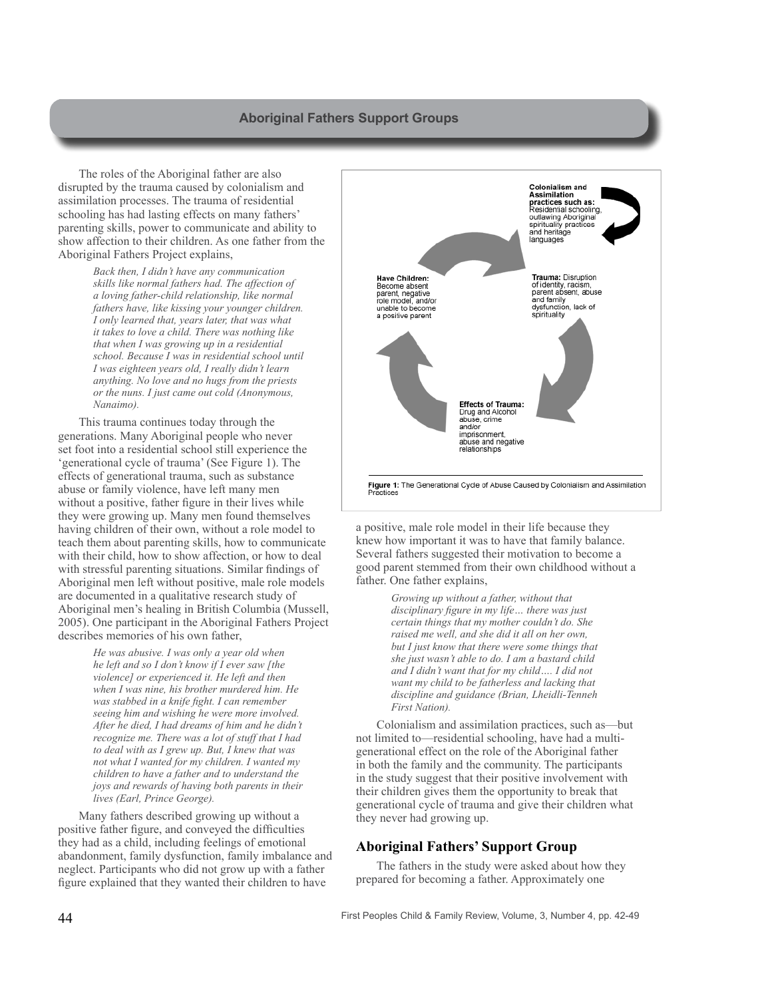# **Aboriginal Fathers Support Groups**

The roles of the Aboriginal father are also disrupted by the trauma caused by colonialism and assimilation processes. The trauma of residential schooling has had lasting effects on many fathers' parenting skills, power to communicate and ability to show affection to their children. As one father from the Aboriginal Fathers Project explains,

> *Back then, I didn't have any communication skills like normal fathers had. The affection of a loving father-child relationship, like normal fathers have, like kissing your younger children. I only learned that, years later, that was what it takes to love a child. There was nothing like that when I was growing up in a residential school. Because I was in residential school until I was eighteen years old, I really didn't learn anything. No love and no hugs from the priests or the nuns. I just came out cold (Anonymous, Nanaimo).*

This trauma continues today through the generations. Many Aboriginal people who never set foot into a residential school still experience the 'generational cycle of trauma' (See Figure 1). The effects of generational trauma, such as substance abuse or family violence, have left many men without a positive, father figure in their lives while they were growing up. Many men found themselves having children of their own, without a role model to teach them about parenting skills, how to communicate with their child, how to show affection, or how to deal with stressful parenting situations. Similar findings of Aboriginal men left without positive, male role models are documented in a qualitative research study of Aboriginal men's healing in British Columbia (Mussell, 2005). One participant in the Aboriginal Fathers Project describes memories of his own father,

> *He was abusive. I was only a year old when he left and so I don't know if I ever saw [the violence] or experienced it. He left and then when I was nine, his brother murdered him. He was stabbed in a knife fight. I can remember seeing him and wishing he were more involved. After he died, I had dreams of him and he didn't recognize me. There was a lot of stuff that I had to deal with as I grew up. But, I knew that was not what I wanted for my children. I wanted my children to have a father and to understand the joys and rewards of having both parents in their lives (Earl, Prince George).*

Many fathers described growing up without a positive father figure, and conveyed the difficulties they had as a child, including feelings of emotional abandonment, family dysfunction, family imbalance and neglect. Participants who did not grow up with a father figure explained that they wanted their children to have



a positive, male role model in their life because they knew how important it was to have that family balance. Several fathers suggested their motivation to become a good parent stemmed from their own childhood without a father. One father explains,

> *Growing up without a father, without that disciplinary figure in my life… there was just certain things that my mother couldn't do. She raised me well, and she did it all on her own, but I just know that there were some things that she just wasn't able to do. I am a bastard child and I didn't want that for my child…. I did not want my child to be fatherless and lacking that discipline and guidance (Brian, Lheidli-Tenneh First Nation).*

Colonialism and assimilation practices, such as—but not limited to—residential schooling, have had a multigenerational effect on the role of the Aboriginal father in both the family and the community. The participants in the study suggest that their positive involvement with their children gives them the opportunity to break that generational cycle of trauma and give their children what they never had growing up.

# **Aboriginal Fathers' Support Group**

The fathers in the study were asked about how they prepared for becoming a father. Approximately one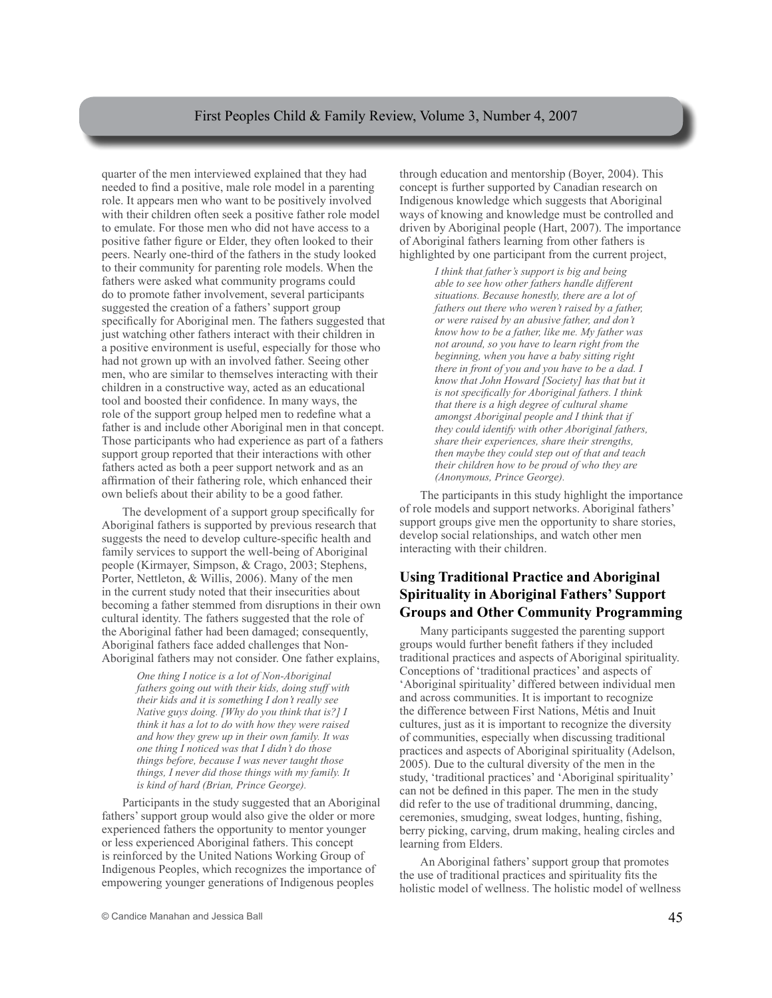### First Peoples Child & Family Review, Volume 3, Number 4, 2007

quarter of the men interviewed explained that they had needed to find a positive, male role model in a parenting role. It appears men who want to be positively involved with their children often seek a positive father role model to emulate. For those men who did not have access to a positive father figure or Elder, they often looked to their peers. Nearly one-third of the fathers in the study looked to their community for parenting role models. When the fathers were asked what community programs could do to promote father involvement, several participants suggested the creation of a fathers' support group specifically for Aboriginal men. The fathers suggested that just watching other fathers interact with their children in a positive environment is useful, especially for those who had not grown up with an involved father. Seeing other men, who are similar to themselves interacting with their children in a constructive way, acted as an educational tool and boosted their confidence. In many ways, the role of the support group helped men to redefine what a father is and include other Aboriginal men in that concept. Those participants who had experience as part of a fathers support group reported that their interactions with other fathers acted as both a peer support network and as an affirmation of their fathering role, which enhanced their own beliefs about their ability to be a good father.

The development of a support group specifically for Aboriginal fathers is supported by previous research that suggests the need to develop culture-specific health and family services to support the well-being of Aboriginal people (Kirmayer, Simpson, & Crago, 2003; Stephens, Porter, Nettleton, & Willis, 2006). Many of the men in the current study noted that their insecurities about becoming a father stemmed from disruptions in their own cultural identity. The fathers suggested that the role of the Aboriginal father had been damaged; consequently, Aboriginal fathers face added challenges that Non-Aboriginal fathers may not consider. One father explains,

> *One thing I notice is a lot of Non-Aboriginal fathers going out with their kids, doing stuff with their kids and it is something I don't really see Native guys doing. [Why do you think that is?] I think it has a lot to do with how they were raised and how they grew up in their own family. It was one thing I noticed was that I didn't do those things before, because I was never taught those things, I never did those things with my family. It is kind of hard (Brian, Prince George).*

Participants in the study suggested that an Aboriginal fathers' support group would also give the older or more experienced fathers the opportunity to mentor younger or less experienced Aboriginal fathers. This concept is reinforced by the United Nations Working Group of Indigenous Peoples, which recognizes the importance of empowering younger generations of Indigenous peoples

through education and mentorship (Boyer, 2004). This concept is further supported by Canadian research on Indigenous knowledge which suggests that Aboriginal ways of knowing and knowledge must be controlled and driven by Aboriginal people (Hart, 2007). The importance of Aboriginal fathers learning from other fathers is highlighted by one participant from the current project,

> *I think that father's support is big and being able to see how other fathers handle different situations. Because honestly, there are a lot of fathers out there who weren't raised by a father, or were raised by an abusive father, and don't know how to be a father, like me. My father was not around, so you have to learn right from the beginning, when you have a baby sitting right there in front of you and you have to be a dad. I know that John Howard [Society] has that but it is not specifically for Aboriginal fathers. I think that there is a high degree of cultural shame amongst Aboriginal people and I think that if they could identify with other Aboriginal fathers, share their experiences, share their strengths, then maybe they could step out of that and teach their children how to be proud of who they are (Anonymous, Prince George).*

The participants in this study highlight the importance of role models and support networks. Aboriginal fathers' support groups give men the opportunity to share stories, develop social relationships, and watch other men interacting with their children.

# **Using Traditional Practice and Aboriginal Spirituality in Aboriginal Fathers' Support Groups and Other Community Programming**

Many participants suggested the parenting support groups would further benefit fathers if they included traditional practices and aspects of Aboriginal spirituality. Conceptions of 'traditional practices' and aspects of 'Aboriginal spirituality' differed between individual men and across communities. It is important to recognize the difference between First Nations, Métis and Inuit cultures, just as it is important to recognize the diversity of communities, especially when discussing traditional practices and aspects of Aboriginal spirituality (Adelson, 2005). Due to the cultural diversity of the men in the study, 'traditional practices' and 'Aboriginal spirituality' can not be defined in this paper. The men in the study did refer to the use of traditional drumming, dancing, ceremonies, smudging, sweat lodges, hunting, fishing, berry picking, carving, drum making, healing circles and learning from Elders.

An Aboriginal fathers' support group that promotes the use of traditional practices and spirituality fits the holistic model of wellness. The holistic model of wellness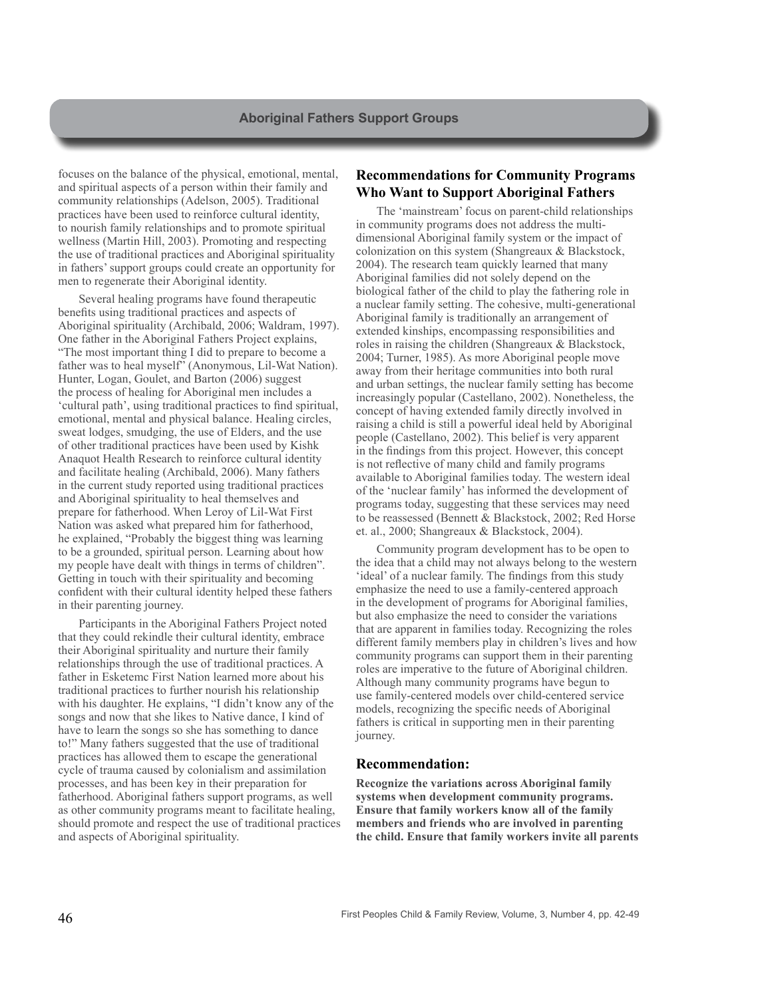focuses on the balance of the physical, emotional, mental, and spiritual aspects of a person within their family and community relationships (Adelson, 2005). Traditional practices have been used to reinforce cultural identity, to nourish family relationships and to promote spiritual wellness (Martin Hill, 2003). Promoting and respecting the use of traditional practices and Aboriginal spirituality in fathers' support groups could create an opportunity for men to regenerate their Aboriginal identity.

Several healing programs have found therapeutic benefits using traditional practices and aspects of Aboriginal spirituality (Archibald, 2006; Waldram, 1997). One father in the Aboriginal Fathers Project explains, "The most important thing I did to prepare to become a father was to heal myself" (Anonymous, Lil-Wat Nation). Hunter, Logan, Goulet, and Barton (2006) suggest the process of healing for Aboriginal men includes a 'cultural path', using traditional practices to find spiritual, emotional, mental and physical balance. Healing circles, sweat lodges, smudging, the use of Elders, and the use of other traditional practices have been used by Kishk Anaquot Health Research to reinforce cultural identity and facilitate healing (Archibald, 2006). Many fathers in the current study reported using traditional practices and Aboriginal spirituality to heal themselves and prepare for fatherhood. When Leroy of Lil-Wat First Nation was asked what prepared him for fatherhood, he explained, "Probably the biggest thing was learning to be a grounded, spiritual person. Learning about how my people have dealt with things in terms of children". Getting in touch with their spirituality and becoming confident with their cultural identity helped these fathers in their parenting journey.

Participants in the Aboriginal Fathers Project noted that they could rekindle their cultural identity, embrace their Aboriginal spirituality and nurture their family relationships through the use of traditional practices. A father in Esketemc First Nation learned more about his traditional practices to further nourish his relationship with his daughter. He explains, "I didn't know any of the songs and now that she likes to Native dance, I kind of have to learn the songs so she has something to dance to!" Many fathers suggested that the use of traditional practices has allowed them to escape the generational cycle of trauma caused by colonialism and assimilation processes, and has been key in their preparation for fatherhood. Aboriginal fathers support programs, as well as other community programs meant to facilitate healing, should promote and respect the use of traditional practices and aspects of Aboriginal spirituality.

# **Recommendations for Community Programs Who Want to Support Aboriginal Fathers**

The 'mainstream' focus on parent-child relationships in community programs does not address the multidimensional Aboriginal family system or the impact of colonization on this system (Shangreaux & Blackstock, 2004). The research team quickly learned that many Aboriginal families did not solely depend on the biological father of the child to play the fathering role in a nuclear family setting. The cohesive, multi-generational Aboriginal family is traditionally an arrangement of extended kinships, encompassing responsibilities and roles in raising the children (Shangreaux & Blackstock, 2004; Turner, 1985). As more Aboriginal people move away from their heritage communities into both rural and urban settings, the nuclear family setting has become increasingly popular (Castellano, 2002). Nonetheless, the concept of having extended family directly involved in raising a child is still a powerful ideal held by Aboriginal people (Castellano, 2002). This belief is very apparent in the findings from this project. However, this concept is not reflective of many child and family programs available to Aboriginal families today. The western ideal of the 'nuclear family' has informed the development of programs today, suggesting that these services may need to be reassessed (Bennett & Blackstock, 2002; Red Horse et. al., 2000; Shangreaux & Blackstock, 2004).

Community program development has to be open to the idea that a child may not always belong to the western 'ideal' of a nuclear family. The findings from this study emphasize the need to use a family-centered approach in the development of programs for Aboriginal families, but also emphasize the need to consider the variations that are apparent in families today. Recognizing the roles different family members play in children's lives and how community programs can support them in their parenting roles are imperative to the future of Aboriginal children. Although many community programs have begun to use family-centered models over child-centered service models, recognizing the specific needs of Aboriginal fathers is critical in supporting men in their parenting journey.

#### **Recommendation:**

**Recognize the variations across Aboriginal family systems when development community programs. Ensure that family workers know all of the family members and friends who are involved in parenting the child. Ensure that family workers invite all parents**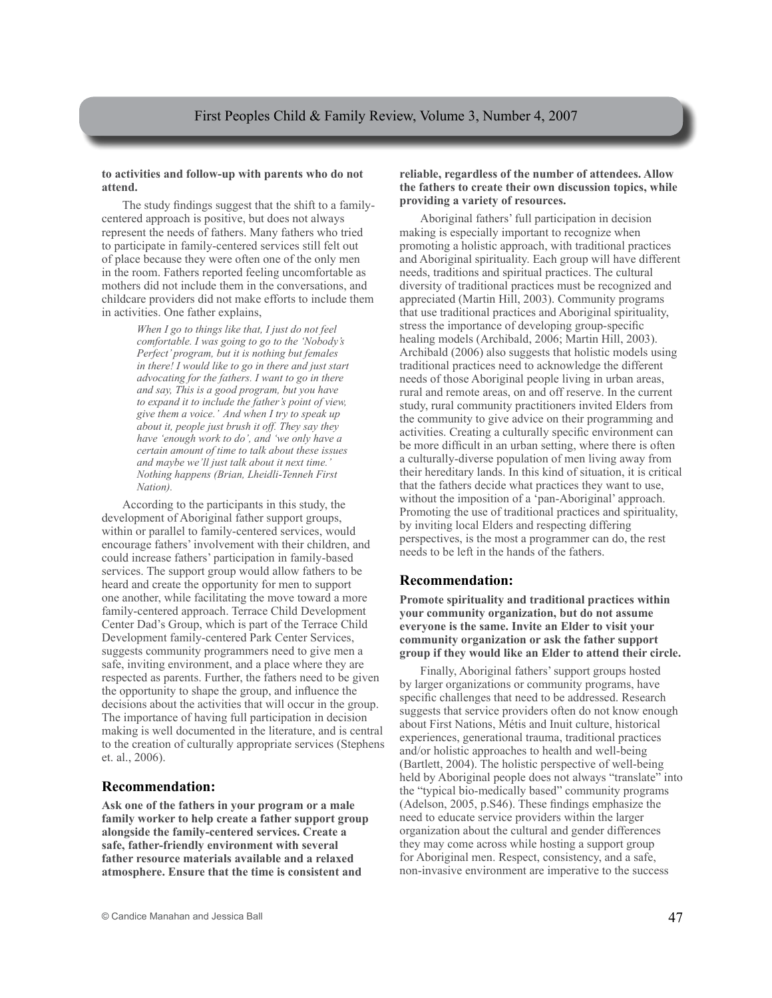#### **to activities and follow-up with parents who do not attend.**

The study findings suggest that the shift to a familycentered approach is positive, but does not always represent the needs of fathers. Many fathers who tried to participate in family-centered services still felt out of place because they were often one of the only men in the room. Fathers reported feeling uncomfortable as mothers did not include them in the conversations, and childcare providers did not make efforts to include them in activities. One father explains,

> *When I go to things like that, I just do not feel comfortable. I was going to go to the 'Nobody's Perfect' program, but it is nothing but females in there! I would like to go in there and just start advocating for the fathers. I want to go in there and say, This is a good program, but you have to expand it to include the father's point of view, give them a voice.' And when I try to speak up about it, people just brush it off. They say they have 'enough work to do', and 'we only have a certain amount of time to talk about these issues and maybe we'll just talk about it next time.' Nothing happens (Brian, Lheidli-Tenneh First Nation).*

According to the participants in this study, the development of Aboriginal father support groups, within or parallel to family-centered services, would encourage fathers' involvement with their children, and could increase fathers' participation in family-based services. The support group would allow fathers to be heard and create the opportunity for men to support one another, while facilitating the move toward a more family-centered approach. Terrace Child Development Center Dad's Group, which is part of the Terrace Child Development family-centered Park Center Services, suggests community programmers need to give men a safe, inviting environment, and a place where they are respected as parents. Further, the fathers need to be given the opportunity to shape the group, and influence the decisions about the activities that will occur in the group. The importance of having full participation in decision making is well documented in the literature, and is central to the creation of culturally appropriate services (Stephens et. al., 2006).

#### **Recommendation:**

**Ask one of the fathers in your program or a male family worker to help create a father support group alongside the family-centered services. Create a safe, father-friendly environment with several father resource materials available and a relaxed atmosphere. Ensure that the time is consistent and** 

#### **reliable, regardless of the number of attendees. Allow the fathers to create their own discussion topics, while providing a variety of resources.**

Aboriginal fathers' full participation in decision making is especially important to recognize when promoting a holistic approach, with traditional practices and Aboriginal spirituality. Each group will have different needs, traditions and spiritual practices. The cultural diversity of traditional practices must be recognized and appreciated (Martin Hill, 2003). Community programs that use traditional practices and Aboriginal spirituality, stress the importance of developing group-specific healing models (Archibald, 2006; Martin Hill, 2003). Archibald (2006) also suggests that holistic models using traditional practices need to acknowledge the different needs of those Aboriginal people living in urban areas, rural and remote areas, on and off reserve. In the current study, rural community practitioners invited Elders from the community to give advice on their programming and activities. Creating a culturally specific environment can be more difficult in an urban setting, where there is often a culturally-diverse population of men living away from their hereditary lands. In this kind of situation, it is critical that the fathers decide what practices they want to use, without the imposition of a 'pan-Aboriginal' approach. Promoting the use of traditional practices and spirituality, by inviting local Elders and respecting differing perspectives, is the most a programmer can do, the rest needs to be left in the hands of the fathers.

# **Recommendation:**

**Promote spirituality and traditional practices within your community organization, but do not assume everyone is the same. Invite an Elder to visit your community organization or ask the father support group if they would like an Elder to attend their circle.** 

Finally, Aboriginal fathers' support groups hosted by larger organizations or community programs, have specific challenges that need to be addressed. Research suggests that service providers often do not know enough about First Nations, Métis and Inuit culture, historical experiences, generational trauma, traditional practices and/or holistic approaches to health and well-being (Bartlett, 2004). The holistic perspective of well-being held by Aboriginal people does not always "translate" into the "typical bio-medically based" community programs (Adelson, 2005, p.S46). These findings emphasize the need to educate service providers within the larger organization about the cultural and gender differences they may come across while hosting a support group for Aboriginal men. Respect, consistency, and a safe, non-invasive environment are imperative to the success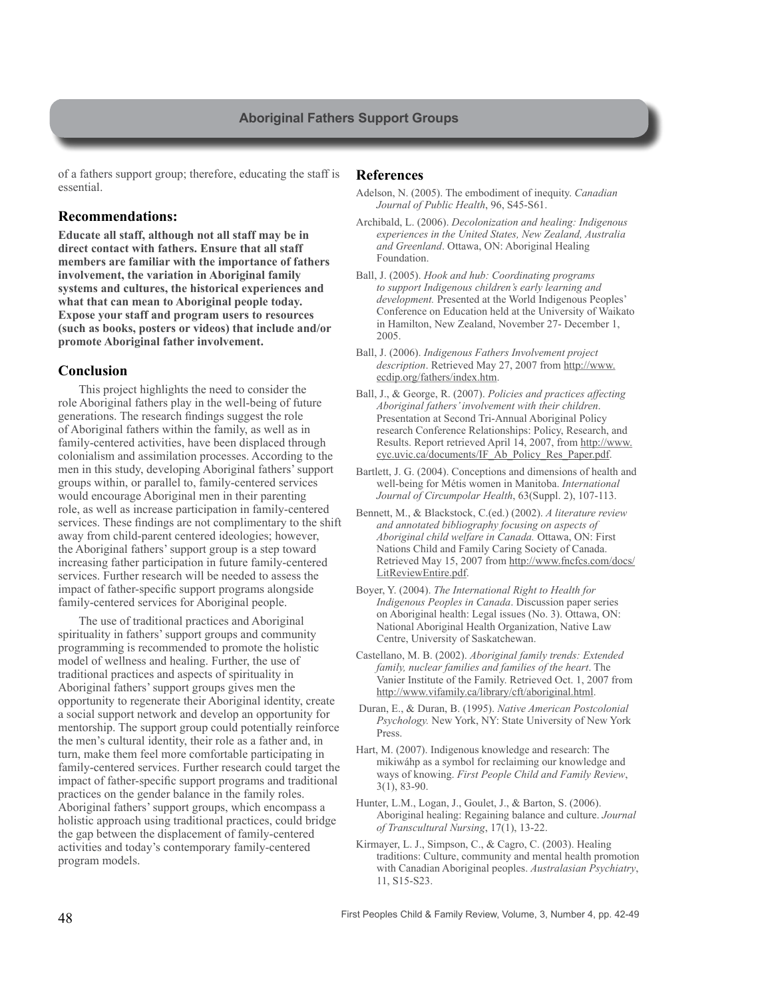of a fathers support group; therefore, educating the staff is essential.

#### **Recommendations:**

**Educate all staff, although not all staff may be in direct contact with fathers. Ensure that all staff members are familiar with the importance of fathers involvement, the variation in Aboriginal family systems and cultures, the historical experiences and what that can mean to Aboriginal people today. Expose your staff and program users to resources (such as books, posters or videos) that include and/or promote Aboriginal father involvement.**

#### **Conclusion**

This project highlights the need to consider the role Aboriginal fathers play in the well-being of future generations. The research findings suggest the role of Aboriginal fathers within the family, as well as in family-centered activities, have been displaced through colonialism and assimilation processes. According to the men in this study, developing Aboriginal fathers' support groups within, or parallel to, family-centered services would encourage Aboriginal men in their parenting role, as well as increase participation in family-centered services. These findings are not complimentary to the shift away from child-parent centered ideologies; however, the Aboriginal fathers' support group is a step toward increasing father participation in future family-centered services. Further research will be needed to assess the impact of father-specific support programs alongside family-centered services for Aboriginal people.

The use of traditional practices and Aboriginal spirituality in fathers' support groups and community programming is recommended to promote the holistic model of wellness and healing. Further, the use of traditional practices and aspects of spirituality in Aboriginal fathers' support groups gives men the opportunity to regenerate their Aboriginal identity, create a social support network and develop an opportunity for mentorship. The support group could potentially reinforce the men's cultural identity, their role as a father and, in turn, make them feel more comfortable participating in family-centered services. Further research could target the impact of father-specific support programs and traditional practices on the gender balance in the family roles. Aboriginal fathers' support groups, which encompass a holistic approach using traditional practices, could bridge the gap between the displacement of family-centered activities and today's contemporary family-centered program models.

#### **References**

- Adelson, N. (2005). The embodiment of inequity. *Canadian Journal of Public Health*, 96, S45-S61.
- Archibald, L. (2006). *Decolonization and healing: Indigenous experiences in the United States, New Zealand, Australia and Greenland*. Ottawa, ON: Aboriginal Healing Foundation.
- Ball, J. (2005). *Hook and hub: Coordinating programs to support Indigenous children's early learning and development.* Presented at the World Indigenous Peoples' Conference on Education held at the University of Waikato in Hamilton, New Zealand, November 27- December 1, 2005.
- Ball, J. (2006). *Indigenous Fathers Involvement project description*. Retrieved May 27, 2007 from http://www. ecdip.org/fathers/index.htm.
- Ball, J., & George, R. (2007). *Policies and practices affecting Aboriginal fathers' involvement with their children*. Presentation at Second Tri-Annual Aboriginal Policy research Conference Relationships: Policy, Research, and Results. Report retrieved April 14, 2007, from http://www. cyc.uvic.ca/documents/IF\_Ab\_Policy\_Res\_Paper.pdf.
- Bartlett, J. G. (2004). Conceptions and dimensions of health and well-being for Métis women in Manitoba. *International Journal of Circumpolar Health*, 63(Suppl. 2), 107-113.
- Bennett, M., & Blackstock, C.(ed.) (2002). *A literature review and annotated bibliography focusing on aspects of Aboriginal child welfare in Canada.* Ottawa, ON: First Nations Child and Family Caring Society of Canada. Retrieved May 15, 2007 from http://www.fncfcs.com/docs/ LitReviewEntire.pdf.
- Boyer, Y. (2004). *The International Right to Health for Indigenous Peoples in Canada*. Discussion paper series on Aboriginal health: Legal issues (No. 3). Ottawa, ON: National Aboriginal Health Organization, Native Law Centre, University of Saskatchewan.
- Castellano, M. B. (2002). *Aboriginal family trends: Extended family, nuclear families and families of the heart*. The Vanier Institute of the Family. Retrieved Oct. 1, 2007 from http://www.vifamily.ca/library/cft/aboriginal.html.
- Duran, E., & Duran, B. (1995). *Native American Postcolonial Psychology.* New York, NY: State University of New York Press.
- Hart, M. (2007). Indigenous knowledge and research: The mikiwáhp as a symbol for reclaiming our knowledge and ways of knowing. *First People Child and Family Review*, 3(1), 83-90.
- Hunter, L.M., Logan, J., Goulet, J., & Barton, S. (2006). Aboriginal healing: Regaining balance and culture. *Journal of Transcultural Nursing*, 17(1), 13-22.
- Kirmayer, L. J., Simpson, C., & Cagro, C. (2003). Healing traditions: Culture, community and mental health promotion with Canadian Aboriginal peoples. *Australasian Psychiatry*, 11, S15-S23.